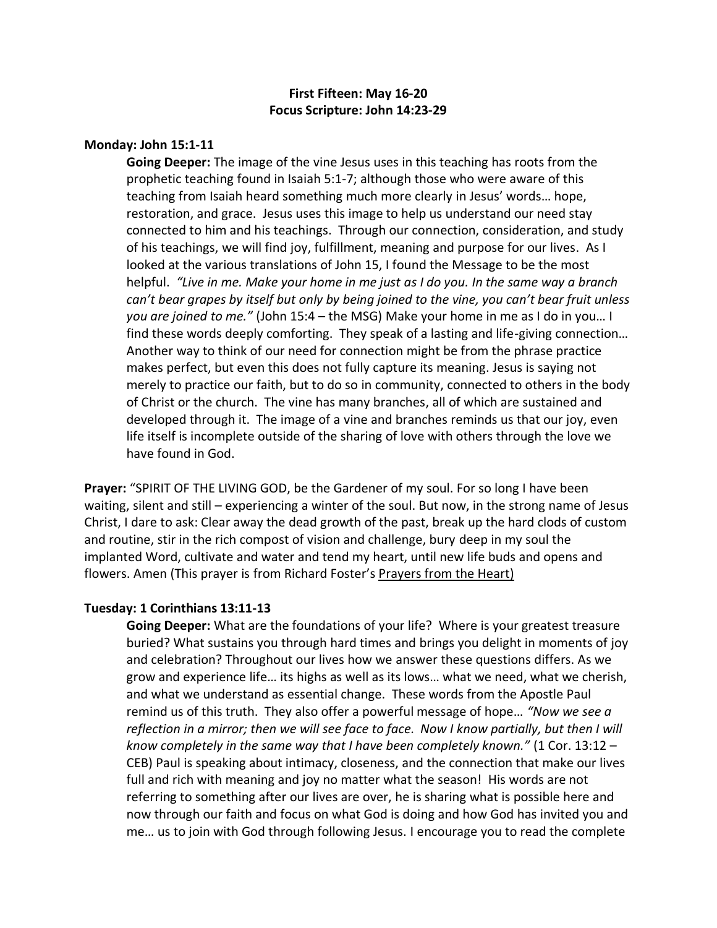# **First Fifteen: May 16-20 Focus Scripture: John 14:23-29**

## **Monday: John 15:1-11**

**Going Deeper:** The image of the vine Jesus uses in this teaching has roots from the prophetic teaching found in Isaiah 5:1-7; although those who were aware of this teaching from Isaiah heard something much more clearly in Jesus' words… hope, restoration, and grace. Jesus uses this image to help us understand our need stay connected to him and his teachings. Through our connection, consideration, and study of his teachings, we will find joy, fulfillment, meaning and purpose for our lives. As I looked at the various translations of John 15, I found the Message to be the most helpful. *"Live in me. Make your home in me just as I do you. In the same way a branch can't bear grapes by itself but only by being joined to the vine, you can't bear fruit unless you are joined to me."* (John 15:4 – the MSG) Make your home in me as I do in you… I find these words deeply comforting. They speak of a lasting and life-giving connection… Another way to think of our need for connection might be from the phrase practice makes perfect, but even this does not fully capture its meaning. Jesus is saying not merely to practice our faith, but to do so in community, connected to others in the body of Christ or the church. The vine has many branches, all of which are sustained and developed through it. The image of a vine and branches reminds us that our joy, even life itself is incomplete outside of the sharing of love with others through the love we have found in God.

**Prayer:** "SPIRIT OF THE LIVING GOD, be the Gardener of my soul. For so long I have been waiting, silent and still – experiencing a winter of the soul. But now, in the strong name of Jesus Christ, I dare to ask: Clear away the dead growth of the past, break up the hard clods of custom and routine, stir in the rich compost of vision and challenge, bury deep in my soul the implanted Word, cultivate and water and tend my heart, until new life buds and opens and flowers. Amen (This prayer is from Richard Foster's Prayers from the Heart)

# **Tuesday: 1 Corinthians 13:11-13**

**Going Deeper:** What are the foundations of your life? Where is your greatest treasure buried? What sustains you through hard times and brings you delight in moments of joy and celebration? Throughout our lives how we answer these questions differs. As we grow and experience life… its highs as well as its lows… what we need, what we cherish, and what we understand as essential change. These words from the Apostle Paul remind us of this truth. They also offer a powerful message of hope… *"Now we see a*  reflection in a mirror; then we will see face to face. Now I know partially, but then I will *know completely in the same way that I have been completely known."* (1 Cor. 13:12 – CEB) Paul is speaking about intimacy, closeness, and the connection that make our lives full and rich with meaning and joy no matter what the season! His words are not referring to something after our lives are over, he is sharing what is possible here and now through our faith and focus on what God is doing and how God has invited you and me… us to join with God through following Jesus. I encourage you to read the complete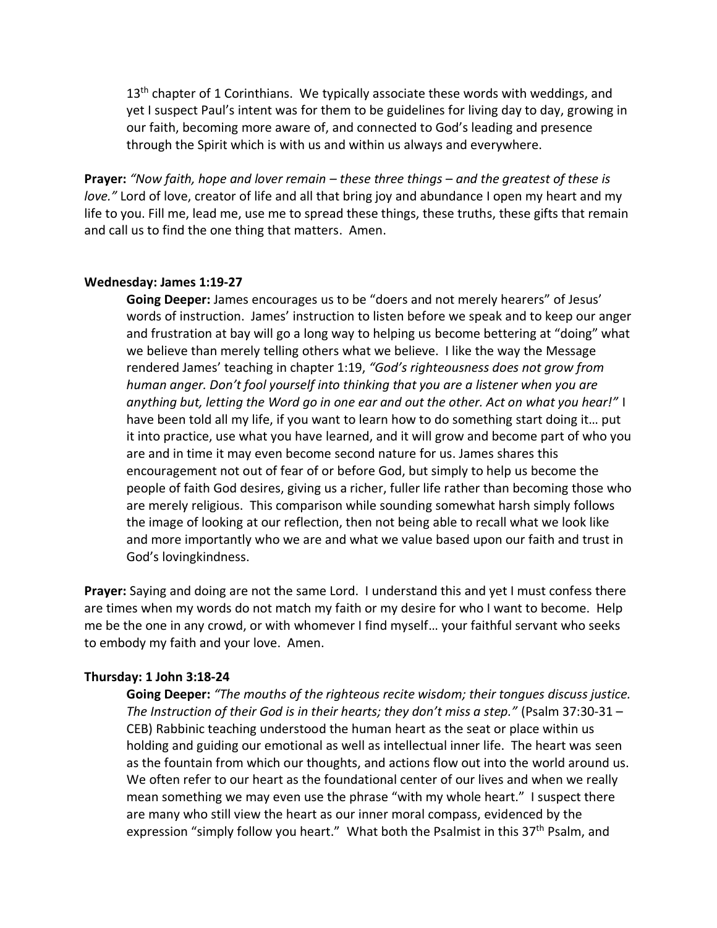$13<sup>th</sup>$  chapter of 1 Corinthians. We typically associate these words with weddings, and yet I suspect Paul's intent was for them to be guidelines for living day to day, growing in our faith, becoming more aware of, and connected to God's leading and presence through the Spirit which is with us and within us always and everywhere.

**Prayer:** *"Now faith, hope and lover remain – these three things – and the greatest of these is love."* Lord of love, creator of life and all that bring joy and abundance I open my heart and my life to you. Fill me, lead me, use me to spread these things, these truths, these gifts that remain and call us to find the one thing that matters. Amen.

#### **Wednesday: James 1:19-27**

**Going Deeper:** James encourages us to be "doers and not merely hearers" of Jesus' words of instruction. James' instruction to listen before we speak and to keep our anger and frustration at bay will go a long way to helping us become bettering at "doing" what we believe than merely telling others what we believe. I like the way the Message rendered James' teaching in chapter 1:19, *"God's righteousness does not grow from human anger. Don't fool yourself into thinking that you are a listener when you are anything but, letting the Word go in one ear and out the other. Act on what you hear!"* I have been told all my life, if you want to learn how to do something start doing it… put it into practice, use what you have learned, and it will grow and become part of who you are and in time it may even become second nature for us. James shares this encouragement not out of fear of or before God, but simply to help us become the people of faith God desires, giving us a richer, fuller life rather than becoming those who are merely religious. This comparison while sounding somewhat harsh simply follows the image of looking at our reflection, then not being able to recall what we look like and more importantly who we are and what we value based upon our faith and trust in God's lovingkindness.

**Prayer:** Saying and doing are not the same Lord. I understand this and yet I must confess there are times when my words do not match my faith or my desire for who I want to become. Help me be the one in any crowd, or with whomever I find myself… your faithful servant who seeks to embody my faith and your love. Amen.

### **Thursday: 1 John 3:18-24**

**Going Deeper:** *"The mouths of the righteous recite wisdom; their tongues discuss justice. The Instruction of their God is in their hearts; they don't miss a step."* (Psalm 37:30-31 – CEB) Rabbinic teaching understood the human heart as the seat or place within us holding and guiding our emotional as well as intellectual inner life. The heart was seen as the fountain from which our thoughts, and actions flow out into the world around us. We often refer to our heart as the foundational center of our lives and when we really mean something we may even use the phrase "with my whole heart." I suspect there are many who still view the heart as our inner moral compass, evidenced by the expression "simply follow you heart." What both the Psalmist in this 37<sup>th</sup> Psalm, and